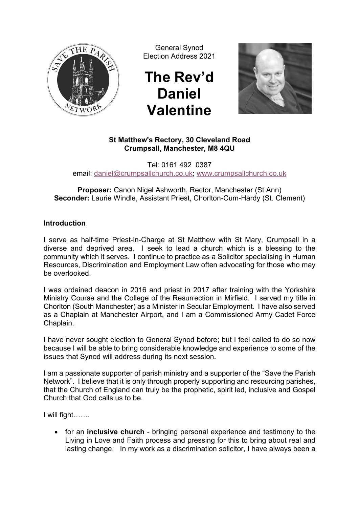

General Synod Election Address 2021

## **The Rev'd Daniel Valentine**



## **St Matthew's Rectory, 30 Cleveland Road Crumpsall, Manchester, M8 4QU**

Tel: 0161 492 0387 email: daniel@crumpsallchurch.co.uk; www.crumpsallchurch.co.uk

**Proposer:** Canon Nigel Ashworth, Rector, Manchester (St Ann) **Seconder:** Laurie Windle, Assistant Priest, Chorlton-Cum-Hardy (St. Clement)

## **Introduction**

I serve as half-time Priest-in-Charge at St Matthew with St Mary, Crumpsall in a diverse and deprived area. I seek to lead a church which is a blessing to the community which it serves. I continue to practice as a Solicitor specialising in Human Resources, Discrimination and Employment Law often advocating for those who may be overlooked.

I was ordained deacon in 2016 and priest in 2017 after training with the Yorkshire Ministry Course and the College of the Resurrection in Mirfield. I served my title in Chorlton (South Manchester) as a Minister in Secular Employment. I have also served as a Chaplain at Manchester Airport, and I am a Commissioned Army Cadet Force Chaplain.

I have never sought election to General Synod before; but I feel called to do so now because I will be able to bring considerable knowledge and experience to some of the issues that Synod will address during its next session.

I am a passionate supporter of parish ministry and a supporter of the "Save the Parish Network". I believe that it is only through properly supporting and resourcing parishes, that the Church of England can truly be the prophetic, spirit led, inclusive and Gospel Church that God calls us to be.

I will fight…….

• for an **inclusive church** - bringing personal experience and testimony to the Living in Love and Faith process and pressing for this to bring about real and lasting change. In my work as a discrimination solicitor, I have always been a